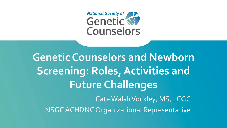**National Society of Separate Separate National Society of Counselors** 

**Genetic Counselors and Newborn Screening: Roles, Activities and Future Challenges** Cate Walsh Vockley, MS, LCGC NSGC ACHDNC Organizational Representative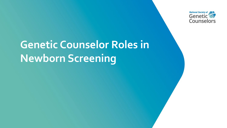

# **Genetic Counselor Roles in Newborn Screening**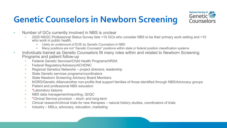## **Genetic Counselors in Newborn Screening**



- Number of GCs currently involved in NBS is unclear
	- 2020 NSGC Professional Status Survey lists <10 GCs who consider NBS to be their primary work setting and <10 who work in public health.
		- Likely an undercount of EOE by Genetic Counselors in NBS
		- Many positions are not "Genetic Counselor" positions within state or federal position classification systems
- Individuals trained as Genetic Counselors fill many roles within and related to Newborn Screening Programs and patient follow-up
	- Federal Genetic Services/Child Health Programs/HRSA
	- Federal Regulatory/Advisory/ACHDNC
	- Regional Genetics Networks project directors, leadership
	- State Genetic services programs/coordinators
	- State Newborn Screening Advisory Board Members
	- NORD/Genetic Alliance/other non-profits that support families of those identified through NBS/Advocacy groups
	- Patient and professional NBS education
	- \*Laboratory liaisons
	- NBS data management/reporting, QI/QC
	- \*Clinical Service provision short- and long-term
	- Clinical research/clinical trials for new therapies natural history studies, coordinators of trials
	- Industry MSLs, advocacy, education, marketing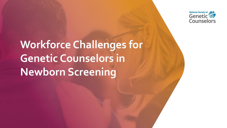

# **Workforce Challenges for Genetic Counselors in Newborn Screening**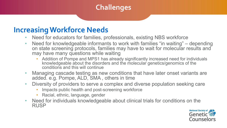### **Challenges**

#### **Increasing Workforce Needs**

- Need for educators for families, professionals, existing NBS workforce
- Need for knowledgeable informants to work with families "in waiting" depending on state screening protocols, families may have to wait for molecular results and may have many questions while waiting
	- Addition of Pompe and MPS1 has already significantly increased need for individuals knowledgeable about the disorders and the molecular genetics/genomics of the conditions and this will continue
- Managing cascade testing as new conditions that have later onset variants are added. e.g. Pompe, ALD, SMA , others in time
- Diversity of providers to serve a complex and diverse population seeking care
	- Impacts public health and post-screening workforce
	- Racial, ethnic, language, gender
- Need for individuals knowledgeable about clinical trials for conditions on the RUSP

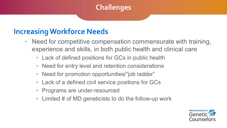### **Challenges**

### **Increasing Workforce Needs**

- Need for competitive compensation commensurate with training, experience and skills, in both public health and clinical care
	- Lack of defined positions for GCs in public health
	- Need for entry level and retention considerations
	- Need for promotion opportunities/"job ladder"
	- Lack of a defined civil service positions for GCs
	- Programs are under-resourced
	- Limited # of MD geneticists to do the follow-up work

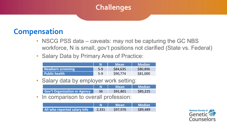#### **Challenges**

### **Compensation**

- NSCG PSS data caveats: may not be capturing the GC NBS workforce, N is small, gov't positions not clarified (State vs. Federal)
- Salary Data by Primary Area of Practice:

|                   |       | <b>Mean</b> | Median'  |
|-------------------|-------|-------------|----------|
| Newborn screening | $5-9$ | \$84,635    | \$80,896 |
| Public health     | $5-9$ | \$90,774    | \$81,000 |

Salary data by employer work setting:

|                                     | <b>Mean</b> | <b>Median</b> |
|-------------------------------------|-------------|---------------|
| <b>Gov't Organization or Agency</b> | \$91,801    | \$85,225      |

In comparison to overall profession:

|                              |       | <b>Mean</b> ' | Median   |
|------------------------------|-------|---------------|----------|
| All who reported salary info | 2,331 | \$97,976      | \$89,489 |

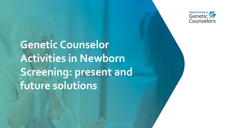

**Genetic Counselor Activities in Newborn Screening: present and future solutions**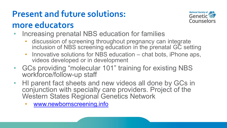## **Present and future solutions:**

### **more educators**



- Increasing prenatal NBS education for families
	- discussion of screening throughout pregnancy can integrate inclusion of NBS screening education in the prenatal GC setting
	- Innovative solutions for NBS education chat bots, iPhone aps, videos developed or in development
- GCs providing "molecular 101" training for existing NBS workforce/follow-up staff
- HI parent fact sheets and new videos all done by GCs in conjunction with specialty care providers. Project of the Western States Regional Genetics Network
	- [www.newbornscreening.info](http://www.newbornscreening.info/)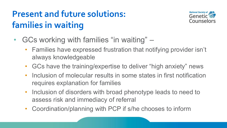# **Present and future solutions: families in waiting**



- GCs working with families "in waiting"
	- Families have expressed frustration that notifying provider isn't always knowledgeable
	- GCs have the training/expertise to deliver "high anxiety" news
	- Inclusion of molecular results in some states in first notification requires explanation for families
	- Inclusion of disorders with broad phenotype leads to need to assess risk and immediacy of referral
	- Coordination/planning with PCP if s/he chooses to inform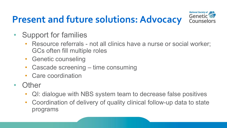# **Present and future solutions: Advocacy**



- Support for families
	- Resource referrals not all clinics have a nurse or social worker; GCs often fill multiple roles
	- **Genetic counseling**
	- Cascade screening time consuming
	- Care coordination
- Other
	- QI: dialogue with NBS system team to decrease false positives
	- Coordination of delivery of quality clinical follow-up data to state programs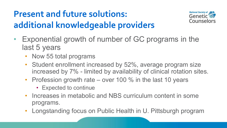## **Present and future solutions: additional knowledgeable providers**



- Exponential growth of number of GC programs in the last 5 years
	- Now 55 total programs
	- Student enrollment increased by 52%, average program size increased by 7% - limited by availability of clinical rotation sites.
	- Profession growth rate over 100 % in the last 10 years
		- Expected to continue
	- Increases in metabolic and NBS curriculum content in some programs.
	- Longstanding focus on Public Health in U. Pittsburgh program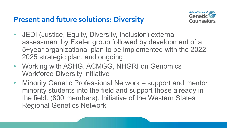### **Present and future solutions: Diversity**



- JEDI (Justice, Equity, Diversity, Inclusion) external assessment by Exeter group followed by development of a 5+year organizational plan to be implemented with the 2022- 2025 strategic plan, and ongoing
- Working with ASHG, ACMGG, NHGRI on Genomics Workforce Diversity Initiative
- Minority Genetic Professional Network support and mentor minority students into the field and support those already in the field. (800 members). Initiative of the Western States Regional Genetics Network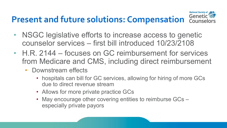## **Present and future solutions: Compensation** Counselo



- NSGC legislative efforts to increase access to genetic counselor services – first bill introduced 10/23/2108
- H.R. 2144 focuses on GC reimbursement for services from Medicare and CMS, including direct reimbursement
	- Downstream effects
		- hospitals can bill for GC services, allowing for hiring of more GCs due to direct revenue stream
		- Allows for more private practice GCs
		- May encourage other covering entities to reimburse GCs especially private payors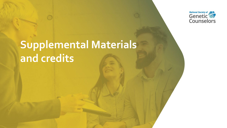

# **Supplemental Materials and credits**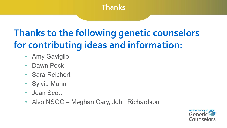#### **Thanks**

# **Thanks to the following genetic counselors for contributing ideas and information:**

- **Amy Gaviglio**
- Dawn Peck
- Sara Reichert
- Sylvia Mann
- Joan Scott
- Also NSGC Meghan Cary, John Richardson

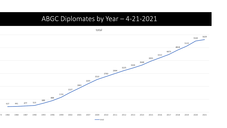#### ABGC Diplomates by Year - 4-21-2021

total

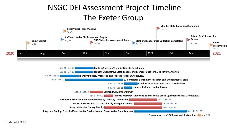### NSGC DEI Assessment Project Timeline The Exeter Group